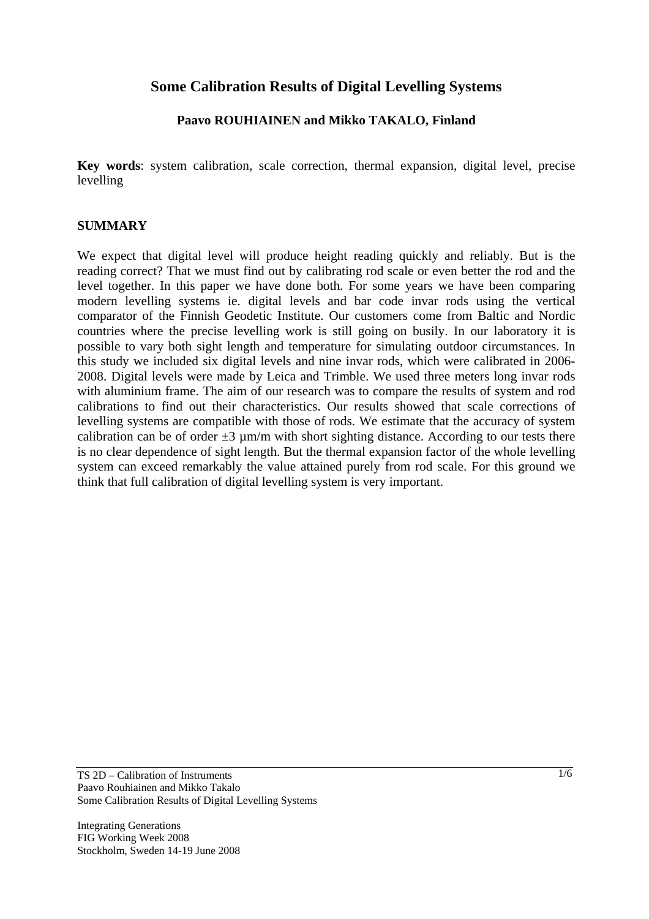## **Some Calibration Results of Digital Levelling Systems**

## **Paavo ROUHIAINEN and Mikko TAKALO, Finland**

**Key words**: system calibration, scale correction, thermal expansion, digital level, precise levelling

#### **SUMMARY**

We expect that digital level will produce height reading quickly and reliably. But is the reading correct? That we must find out by calibrating rod scale or even better the rod and the level together. In this paper we have done both. For some years we have been comparing modern levelling systems ie. digital levels and bar code invar rods using the vertical comparator of the Finnish Geodetic Institute. Our customers come from Baltic and Nordic countries where the precise levelling work is still going on busily. In our laboratory it is possible to vary both sight length and temperature for simulating outdoor circumstances. In this study we included six digital levels and nine invar rods, which were calibrated in 2006- 2008. Digital levels were made by Leica and Trimble. We used three meters long invar rods with aluminium frame. The aim of our research was to compare the results of system and rod calibrations to find out their characteristics. Our results showed that scale corrections of levelling systems are compatible with those of rods. We estimate that the accuracy of system calibration can be of order  $\pm 3 \mu$ m/m with short sighting distance. According to our tests there is no clear dependence of sight length. But the thermal expansion factor of the whole levelling system can exceed remarkably the value attained purely from rod scale. For this ground we think that full calibration of digital levelling system is very important.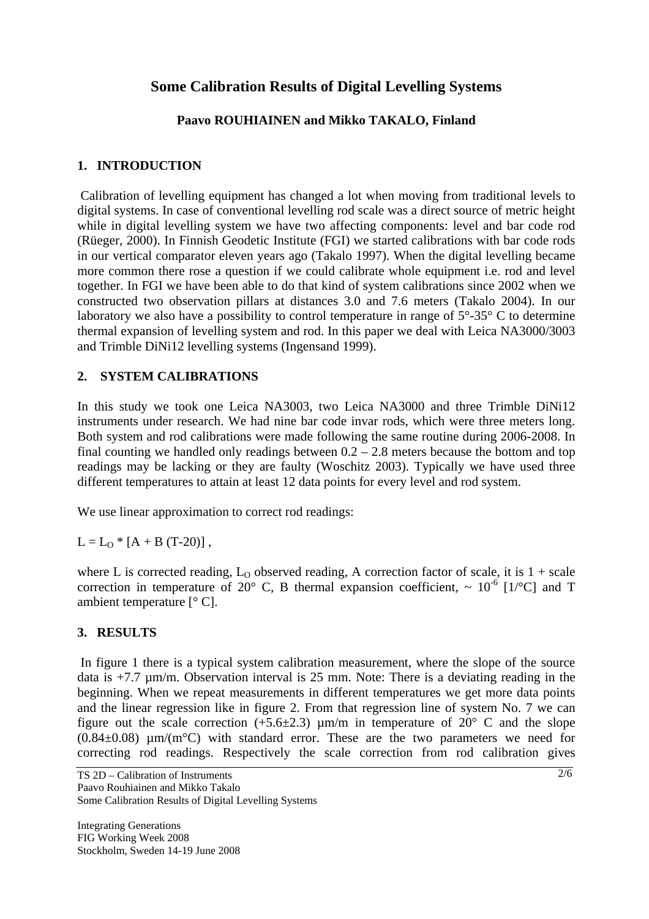# **Some Calibration Results of Digital Levelling Systems**

## **Paavo ROUHIAINEN and Mikko TAKALO, Finland**

### **1. INTRODUCTION**

 Calibration of levelling equipment has changed a lot when moving from traditional levels to digital systems. In case of conventional levelling rod scale was a direct source of metric height while in digital levelling system we have two affecting components: level and bar code rod (Rüeger, 2000). In Finnish Geodetic Institute (FGI) we started calibrations with bar code rods in our vertical comparator eleven years ago (Takalo 1997). When the digital levelling became more common there rose a question if we could calibrate whole equipment i.e. rod and level together. In FGI we have been able to do that kind of system calibrations since 2002 when we constructed two observation pillars at distances 3.0 and 7.6 meters (Takalo 2004). In our laboratory we also have a possibility to control temperature in range of  $5^{\circ}$ -35° C to determine thermal expansion of levelling system and rod. In this paper we deal with Leica NA3000/3003 and Trimble DiNi12 levelling systems (Ingensand 1999).

### **2. SYSTEM CALIBRATIONS**

In this study we took one Leica NA3003, two Leica NA3000 and three Trimble DiNi12 instruments under research. We had nine bar code invar rods, which were three meters long. Both system and rod calibrations were made following the same routine during 2006-2008. In final counting we handled only readings between  $0.2 - 2.8$  meters because the bottom and top readings may be lacking or they are faulty (Woschitz 2003). Typically we have used three different temperatures to attain at least 12 data points for every level and rod system.

We use linear approximation to correct rod readings:

 $L = L_0 * [A + B (T-20)]$ ,

where L is corrected reading,  $L_0$  observed reading, A correction factor of scale, it is  $1 + scale$ correction in temperature of 20 $^{\circ}$  C, B thermal expansion coefficient,  $\sim 10^{-6}$  [1/ $^{\circ}$ C] and T ambient temperature  $[°C]$ .

### **3. RESULTS**

 In figure 1 there is a typical system calibration measurement, where the slope of the source data is  $+7.7 \mu$ m/m. Observation interval is 25 mm. Note: There is a deviating reading in the beginning. When we repeat measurements in different temperatures we get more data points and the linear regression like in figure 2. From that regression line of system No. 7 we can figure out the scale correction  $(+5.6\pm2.3)$  µm/m in temperature of 20° C and the slope  $(0.84\pm0.08)$  µm/(m<sup>o</sup>C) with standard error. These are the two parameters we need for correcting rod readings. Respectively the scale correction from rod calibration gives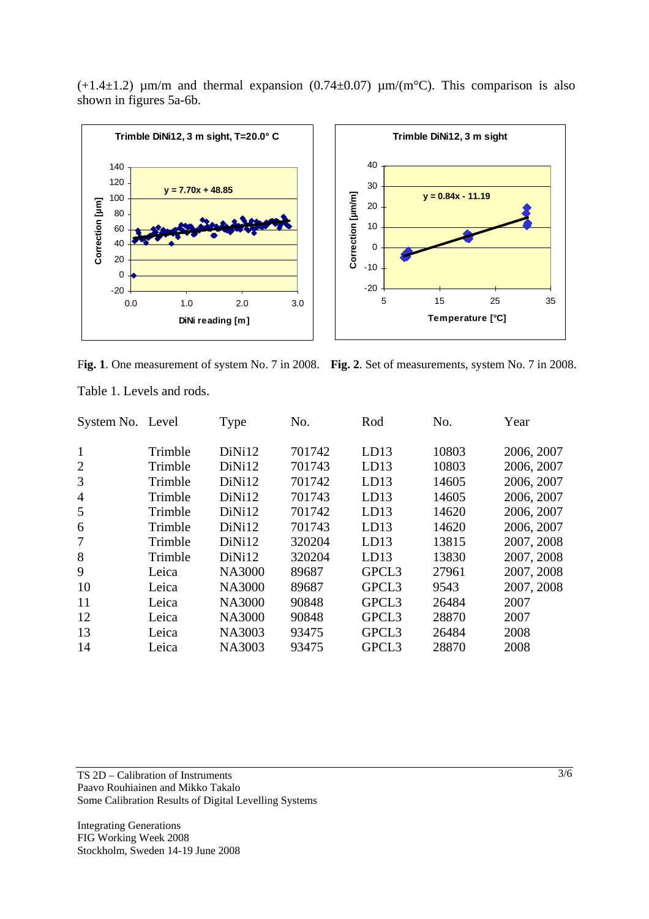$(+1.4\pm1.2)$  µm/m and thermal expansion  $(0.74\pm0.07)$  µm/(m<sup>o</sup>C). This comparison is also shown in figures 5a-6b.



F**ig. 1**. One measurement of system No. 7 in 2008. **Fig. 2**. Set of measurements, system No. 7 in 2008.

| $\mathbf{1}$<br>DiNi12<br>10803<br>2006, 2007<br>Trimble<br>701742<br>LD13<br>$\overline{2}$<br>Trimble<br>DiNi12<br>701743<br>LD13<br>10803<br>2006, 2007<br>3<br>701742<br>2006, 2007<br>Trimble<br>DiNi12<br>LD13<br>14605<br>DiNi12<br>701743<br>2006, 2007<br>Trimble<br>LD13<br>14605<br>$\overline{4}$<br>Trimble<br>DiNi12<br>701742<br>LD13<br>14620<br>2006, 2007<br>5<br>DiNi12<br>701743<br>LD13<br>14620<br>2006, 2007<br>Trimble<br>6<br>7<br>DiNi12<br>320204<br>2007, 2008<br>Trimble<br>LD13<br>13815<br>8<br>320204<br>Trimble<br>DiNi12<br>13830<br>2007, 2008<br>LD13<br>9<br>2007, 2008<br><b>NA3000</b><br>GPCL3<br>Leica<br>89687<br>27961<br>10<br>2007, 2008<br><b>NA3000</b><br>GPCL3<br>89687<br>9543<br>Leica<br>GPCL3<br>11<br><b>NA3000</b><br>90848<br>Leica<br>26484<br>2007<br>12<br><b>NA3000</b><br>90848<br>GPCL3<br>28870<br>Leica<br>2007<br>13<br><b>NA3003</b><br>GPCL3<br>26484<br>2008<br>93475<br>Leica<br><b>NA3003</b><br>GPCL3<br>28870<br>2008<br>14<br>93475<br>Leica | System No. Level | Type | No. | Rod | No. | Year |
|-----------------------------------------------------------------------------------------------------------------------------------------------------------------------------------------------------------------------------------------------------------------------------------------------------------------------------------------------------------------------------------------------------------------------------------------------------------------------------------------------------------------------------------------------------------------------------------------------------------------------------------------------------------------------------------------------------------------------------------------------------------------------------------------------------------------------------------------------------------------------------------------------------------------------------------------------------------------------------------------------------------------------|------------------|------|-----|-----|-----|------|
|                                                                                                                                                                                                                                                                                                                                                                                                                                                                                                                                                                                                                                                                                                                                                                                                                                                                                                                                                                                                                       |                  |      |     |     |     |      |
|                                                                                                                                                                                                                                                                                                                                                                                                                                                                                                                                                                                                                                                                                                                                                                                                                                                                                                                                                                                                                       |                  |      |     |     |     |      |
|                                                                                                                                                                                                                                                                                                                                                                                                                                                                                                                                                                                                                                                                                                                                                                                                                                                                                                                                                                                                                       |                  |      |     |     |     |      |
|                                                                                                                                                                                                                                                                                                                                                                                                                                                                                                                                                                                                                                                                                                                                                                                                                                                                                                                                                                                                                       |                  |      |     |     |     |      |
|                                                                                                                                                                                                                                                                                                                                                                                                                                                                                                                                                                                                                                                                                                                                                                                                                                                                                                                                                                                                                       |                  |      |     |     |     |      |
|                                                                                                                                                                                                                                                                                                                                                                                                                                                                                                                                                                                                                                                                                                                                                                                                                                                                                                                                                                                                                       |                  |      |     |     |     |      |
|                                                                                                                                                                                                                                                                                                                                                                                                                                                                                                                                                                                                                                                                                                                                                                                                                                                                                                                                                                                                                       |                  |      |     |     |     |      |
|                                                                                                                                                                                                                                                                                                                                                                                                                                                                                                                                                                                                                                                                                                                                                                                                                                                                                                                                                                                                                       |                  |      |     |     |     |      |
|                                                                                                                                                                                                                                                                                                                                                                                                                                                                                                                                                                                                                                                                                                                                                                                                                                                                                                                                                                                                                       |                  |      |     |     |     |      |
|                                                                                                                                                                                                                                                                                                                                                                                                                                                                                                                                                                                                                                                                                                                                                                                                                                                                                                                                                                                                                       |                  |      |     |     |     |      |
|                                                                                                                                                                                                                                                                                                                                                                                                                                                                                                                                                                                                                                                                                                                                                                                                                                                                                                                                                                                                                       |                  |      |     |     |     |      |
|                                                                                                                                                                                                                                                                                                                                                                                                                                                                                                                                                                                                                                                                                                                                                                                                                                                                                                                                                                                                                       |                  |      |     |     |     |      |
|                                                                                                                                                                                                                                                                                                                                                                                                                                                                                                                                                                                                                                                                                                                                                                                                                                                                                                                                                                                                                       |                  |      |     |     |     |      |
|                                                                                                                                                                                                                                                                                                                                                                                                                                                                                                                                                                                                                                                                                                                                                                                                                                                                                                                                                                                                                       |                  |      |     |     |     |      |

Table 1. Levels and rods.

TS 2D – Calibration of Instruments Paavo Rouhiainen and Mikko Takalo Some Calibration Results of Digital Levelling Systems

Integrating Generations FIG Working Week 2008 Stockholm, Sweden 14-19 June 2008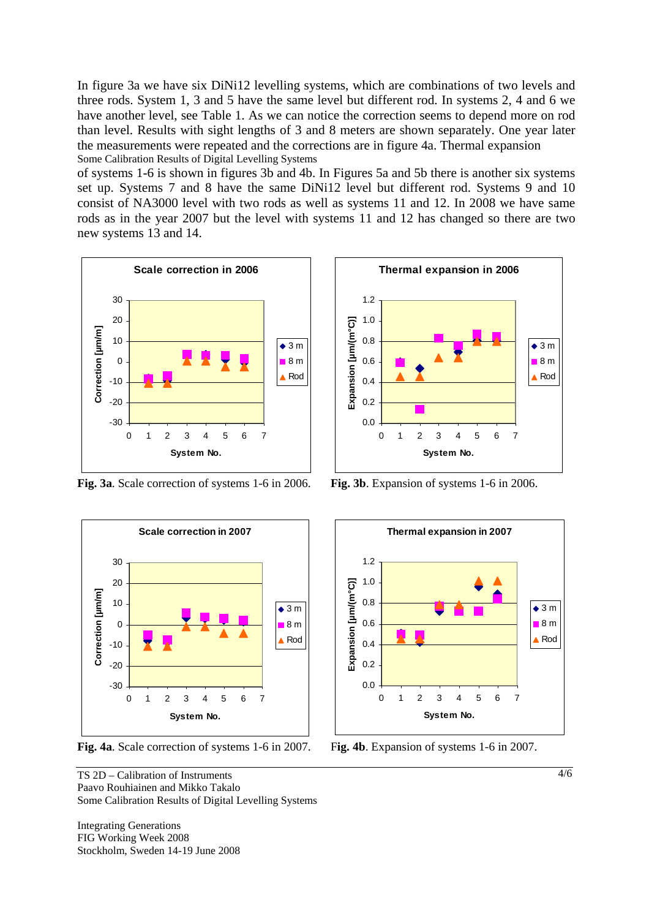In figure 3a we have six DiNi12 levelling systems, which are combinations of two levels and three rods. System 1, 3 and 5 have the same level but different rod. In systems 2, 4 and 6 we have another level, see Table 1. As we can notice the correction seems to depend more on rod than level. Results with sight lengths of 3 and 8 meters are shown separately. One year later the measurements were repeated and the corrections are in figure 4a. Thermal expansion Some Calibration Results of Digital Levelling Systems

of systems 1-6 is shown in figures 3b and 4b. In Figures 5a and 5b there is another six systems set up. Systems 7 and 8 have the same DiNi12 level but different rod. Systems 9 and 10 consist of NA3000 level with two rods as well as systems 11 and 12. In 2008 we have same rods as in the year 2007 but the level with systems 11 and 12 has changed so there are two new systems 13 and 14.



**Fig. 3a**. Scale correction of systems 1-6 in 2006. **Fig. 3b**. Expansion of systems 1-6 in 2006.



**Fig. 4a**. Scale correction of systems 1-6 in 2007. F**ig. 4b**. Expansion of systems 1-6 in 2007.

TS 2D – Calibration of Instruments Paavo Rouhiainen and Mikko Takalo Some Calibration Results of Digital Levelling Systems

Integrating Generations FIG Working Week 2008 Stockholm, Sweden 14-19 June 2008



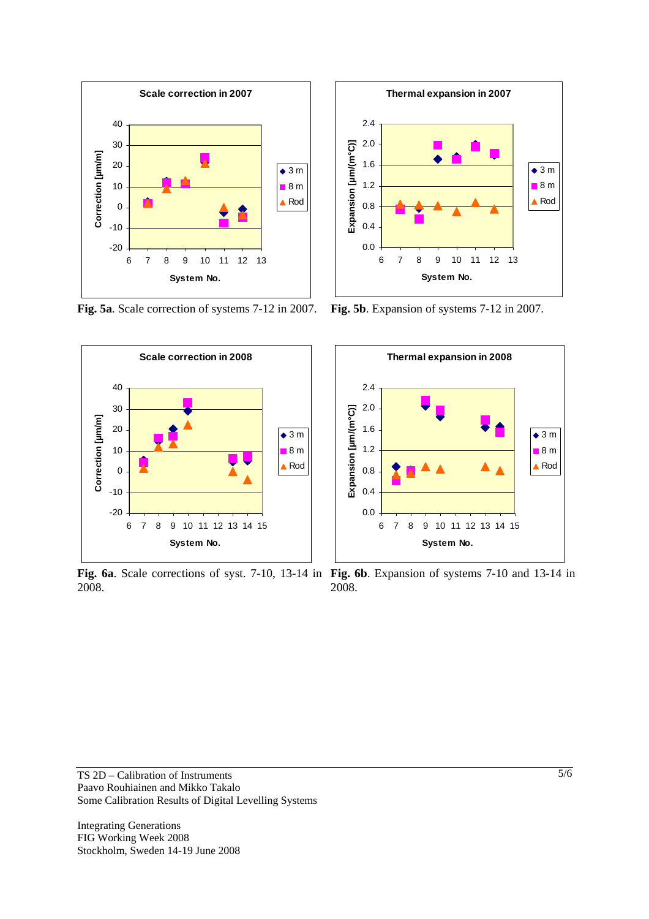

**Fig. 5a**. Scale correction of systems 7-12 in 2007. **Fig. 5b**. Expansion of systems 7-12 in 2007.



2008.





**Fig. 6a**. Scale corrections of syst. 7-10, 13-14 in **Fig. 6b**. Expansion of systems 7-10 and 13-14 in 2008.